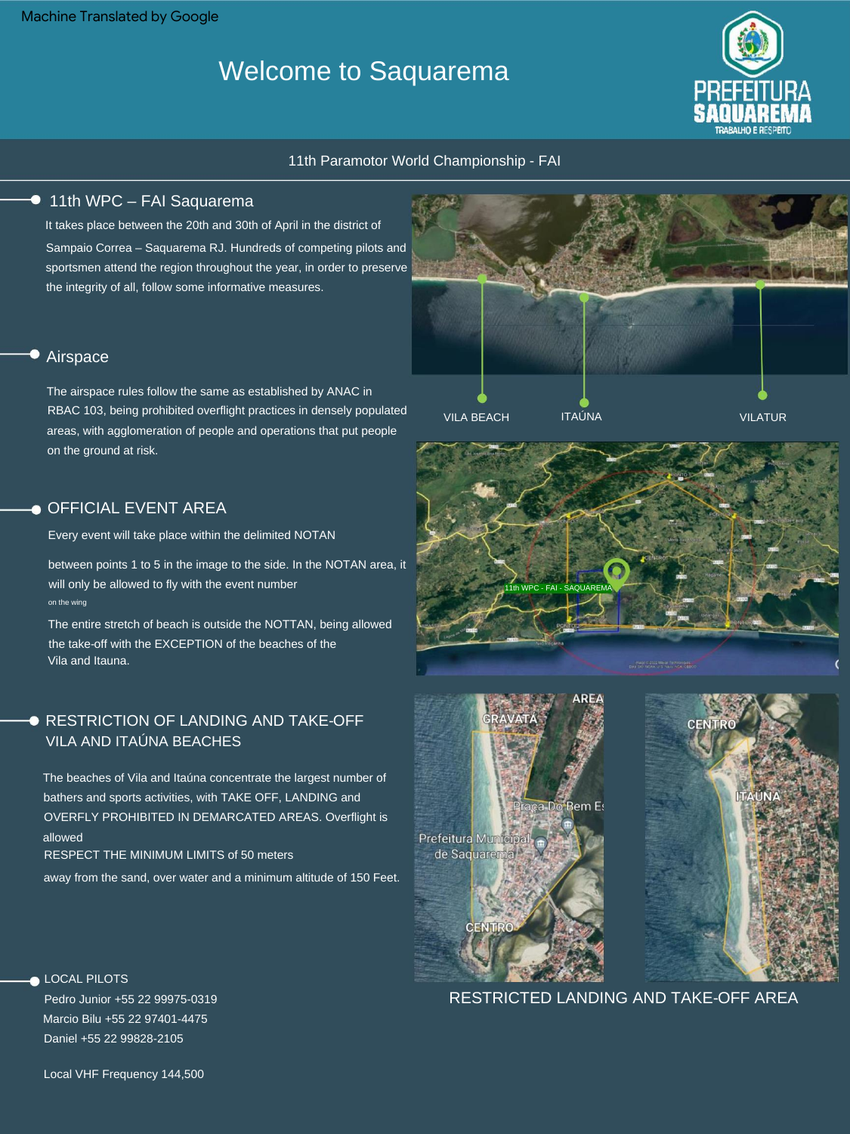Machine Translated by Google

# Welcome to Saquarema



#### 11th Paramotor World Championship - FAI

#### ● 11th WPC – FAI Saquarema

It takes place between the 20th and 30th of April in the district of Sampaio Correa – Saquarema RJ. Hundreds of competing pilots and sportsmen attend the region throughout the year, in order to preserve the integrity of all, follow some informative measures.



The airspace rules follow the same as established by ANAC in RBAC 103, being prohibited overflight practices in densely populated areas, with agglomeration of people and operations that put people on the ground at risk.

## **OFFICIAL EVENT AREA**

Every event will take place within the delimited NOTAN

on the wing between points 1 to 5 in the image to the side. In the NOTAN area, it will only be allowed to fly with the event number

The entire stretch of beach is outside the NOTTAN, being allowed the take-off with the EXCEPTION of the beaches of the Vila and Itauna.

### **RESTRICTION OF LANDING AND TAKE-OFF** VILA AND ITAÚNA BEACHES

The beaches of Vila and Itaúna concentrate the largest number of bathers and sports activities, with TAKE OFF, LANDING and OVERFLY PROHIBITED IN DEMARCATED AREAS. Overflight is allowed

RESPECT THE MINIMUM LIMITS of 50 meters

away from the sand, over water and a minimum altitude of 150 Feet.









RESTRICTED LANDING AND TAKE-OFF AREA

Pedro Junior +55 22 99975-0319 Daniel +55 22 99828-2105 Marcio Bilu +55 22 97401-4475

LOCAL PILOTS

Local VHF Frequency 144,500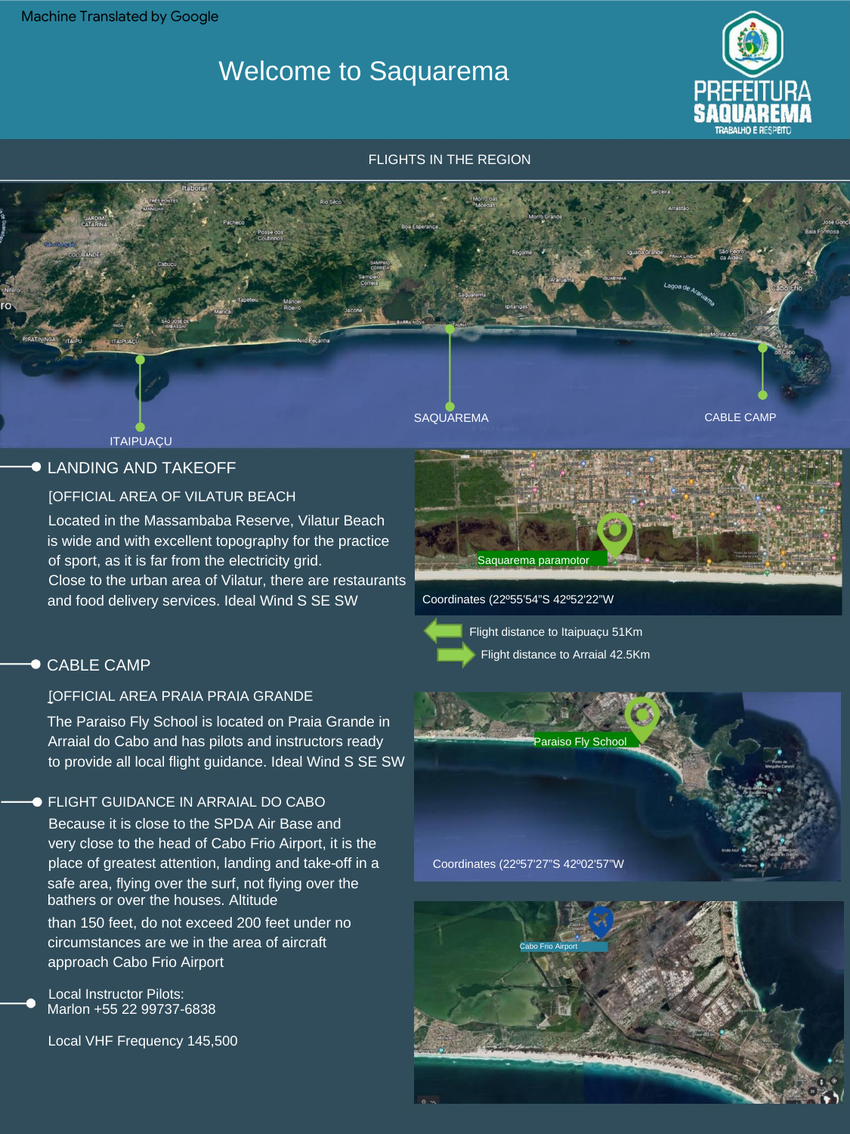Machine Translated by Google

# Welcome to Saquarema



CABLE CAMP

FLIGHTS IN THE REGION

ITAIPUAÇU

# **CLANDING AND TAKEOFF**

### [OFFICIAL AREA OF VILATUR BEACH

Located in the Massambaba Reserve, Vilatur Beach is wide and with excellent topography for the practice of sport, as it is far from the electricity grid. Close to the urban area of Vilatur, there are restaurants and food delivery services. Ideal Wind S SE SW

## ● CABLE CAMP

### [OFFICIAL AREA PRAIA PRAIA GRANDE

The Paraiso Fly School is located on Praia Grande in Arraial do Cabo and has pilots and instructors ready to provide all local flight guidance. Ideal Wind S SE SW

#### FLIGHT GUIDANCE IN ARRAIAL DO CABO

Because it is close to the SPDA Air Base and very close to the head of Cabo Frio Airport, it is the place of greatest attention, landing and take-off in a safe area, flying over the surf, not flying over the bathers or over the houses. Altitude

than 150 feet, do not exceed 200 feet under no circumstances are we in the area of aircraft approach Cabo Frio Airport

Local Instructor Pilots: Marlon +55 22 99737-6838

Local VHF Frequency 145,500



Coordinates (22º55'54"S 42º52'22"W



**SAQUAREMA** 

Flight distance to Itaipuaçu 51Km Flight distance to Arraial 42.5Km